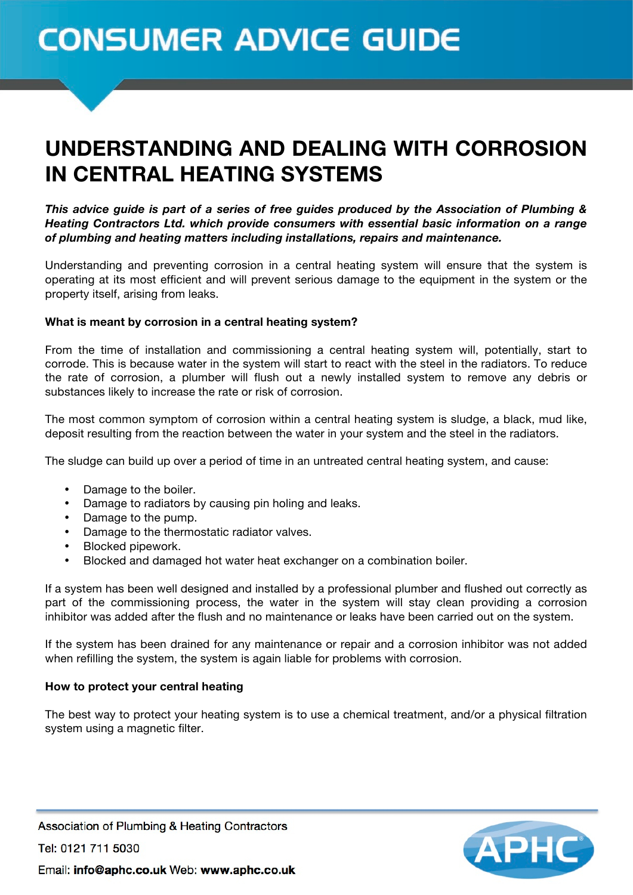# **CONSUMER ADVICE GUIDE**

## UNDERSTANDING AND DEALING WITH CORROSION IN CENTRAL HEATING SYSTEMS

*This advice guide is part of a series of free guides produced by the Association of Plumbing & Heating Contractors Ltd. which provide consumers with essential basic information on a range of plumbing and heating matters including installations, repairs and maintenance.*

Understanding and preventing corrosion in a central heating system will ensure that the system is operating at its most efficient and will prevent serious damage to the equipment in the system or the property itself, arising from leaks.

### **What is meant by corrosion in a central heating system?**

From the time of installation and commissioning a central heating system will, potentially, start to corrode. This is because water in the system will start to react with the steel in the radiators. To reduce the rate of corrosion, a plumber will flush out a newly installed system to remove any debris or substances likely to increase the rate or risk of corrosion.

The most common symptom of corrosion within a central heating system is sludge, a black, mud like, deposit resulting from the reaction between the water in your system and the steel in the radiators.

The sludge can build up over a period of time in an untreated central heating system, and cause:

- Damage to the boiler.
- Damage to radiators by causing pin holing and leaks.
- Damage to the pump.
- Damage to the thermostatic radiator valves.
- Blocked pipework.
- Blocked and damaged hot water heat exchanger on a combination boiler.

If a system has been well designed and installed by a professional plumber and flushed out correctly as part of the commissioning process, the water in the system will stay clean providing a corrosion inhibitor was added after the flush and no maintenance or leaks have been carried out on the system.

If the system has been drained for any maintenance or repair and a corrosion inhibitor was not added when refilling the system, the system is again liable for problems with corrosion.

#### **How to protect your central heating**

The best way to protect your heating system is to use a chemical treatment, and/or a physical filtration system using a magnetic filter.